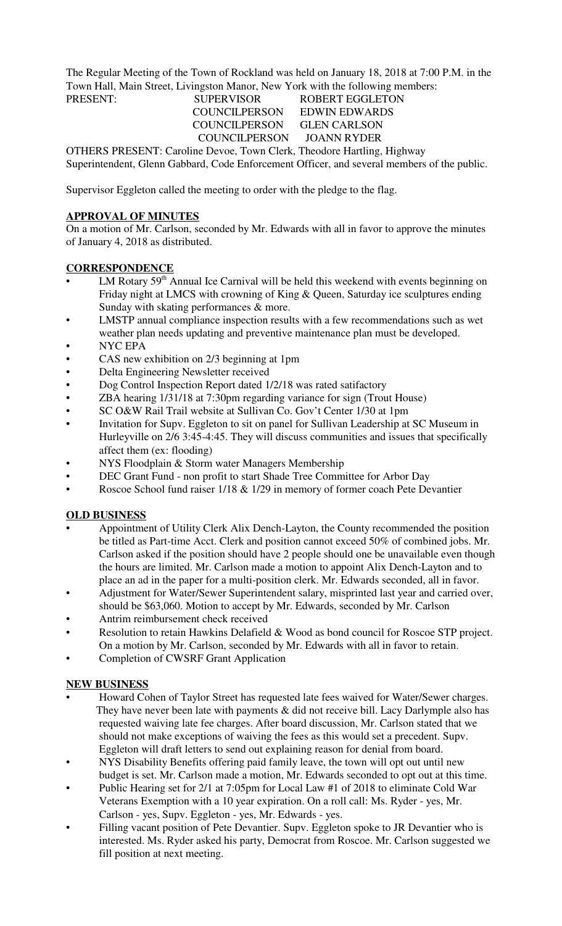The Regular Meeting of the Town of Rockland was held on January 18, 2018 at 7:00 P.M. in the Town Hall, Main Street, Livingston Manor, New York with the following members:

#### PRESENT: SUPERVISOR ROBERT EGGLETON COUNCILPERSON EDWIN EDWARDS COUNCILPERSON GLEN CARLSON COUNCILPERSON JOANN RYDER

OTHERS PRESENT: Caroline Devoe, Town Clerk, Theodore Hartling, Highway Superintendent, Glenn Gabbard, Code Enforcement Officer, and several members of the public.

Supervisor Eggleton called the meeting to order with the pledge to the flag.

## **APPROVAL OF MINUTES**

On a motion of Mr. Carlson, seconded by Mr. Edwards with all in favor to approve the minutes of January 4, 2018 as distributed.

## **CORRESPONDENCE**

- LM Rotary 59<sup>th</sup> Annual Ice Carnival will be held this weekend with events beginning on Friday night at LMCS with crowning of King & Queen, Saturday ice sculptures ending Sunday with skating performances & more.
- LMSTP annual compliance inspection results with a few recommendations such as wet weather plan needs updating and preventive maintenance plan must be developed.
- NYC EPA
- CAS new exhibition on 2/3 beginning at 1pm
- Delta Engineering Newsletter received
- Dog Control Inspection Report dated 1/2/18 was rated satifactory
- ZBA hearing 1/31/18 at 7:30pm regarding variance for sign (Trout House)
- SC O&W Rail Trail website at Sullivan Co. Gov't Center 1/30 at 1pm
- Invitation for Supv. Eggleton to sit on panel for Sullivan Leadership at SC Museum in Hurleyville on 2/6 3:45-4:45. They will discuss communities and issues that specifically affect them (ex: flooding)
- NYS Floodplain & Storm water Managers Membership
- DEC Grant Fund non profit to start Shade Tree Committee for Arbor Day
- Roscoe School fund raiser 1/18 & 1/29 in memory of former coach Pete Devantier

### **OLD BUSINESS**

- Appointment of Utility Clerk Alix Dench-Layton, the County recommended the position be titled as Part-time Acct. Clerk and position cannot exceed 50% of combined jobs. Mr. Carlson asked if the position should have 2 people should one be unavailable even though the hours are limited. Mr. Carlson made a motion to appoint Alix Dench-Layton and to place an ad in the paper for a multi-position clerk. Mr. Edwards seconded, all in favor.
- Adjustment for Water/Sewer Superintendent salary, misprinted last year and carried over, should be \$63,060. Motion to accept by Mr. Edwards, seconded by Mr. Carlson
- Antrim reimbursement check received
- Resolution to retain Hawkins Delafield & Wood as bond council for Roscoe STP project. On a motion by Mr. Carlson, seconded by Mr. Edwards with all in favor to retain.
- Completion of CWSRF Grant Application

# **NEW BUSINESS**

- Howard Cohen of Taylor Street has requested late fees waived for Water/Sewer charges. They have never been late with payments  $\&$  did not receive bill. Lacy Darlymple also has requested waiving late fee charges. After board discussion, Mr. Carlson stated that we should not make exceptions of waiving the fees as this would set a precedent. Supv. Eggleton will draft letters to send out explaining reason for denial from board.
- NYS Disability Benefits offering paid family leave, the town will opt out until new budget is set. Mr. Carlson made a motion, Mr. Edwards seconded to opt out at this time.
- Public Hearing set for 2/1 at 7:05pm for Local Law #1 of 2018 to eliminate Cold War Veterans Exemption with a 10 year expiration. On a roll call: Ms. Ryder - yes, Mr. Carlson - yes, Supv. Eggleton - yes, Mr. Edwards - yes.
- Filling vacant position of Pete Devantier. Supv. Eggleton spoke to JR Devantier who is interested. Ms. Ryder asked his party, Democrat from Roscoe. Mr. Carlson suggested we fill position at next meeting.